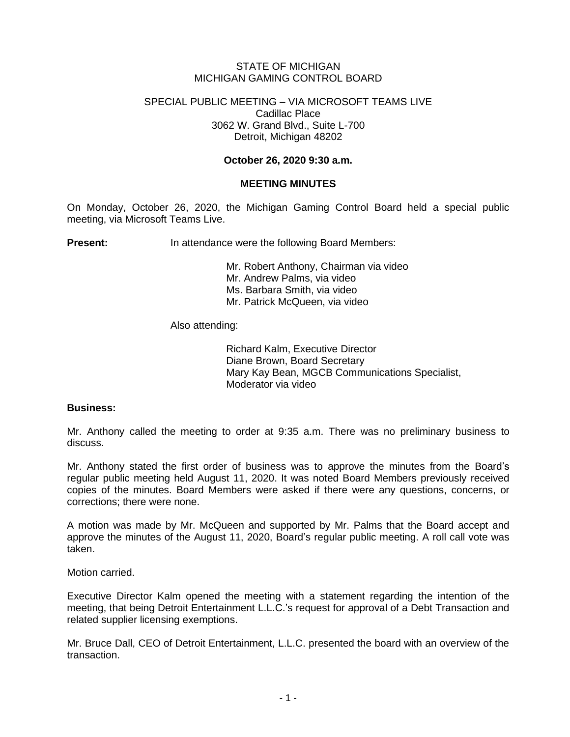# STATE OF MICHIGAN MICHIGAN GAMING CONTROL BOARD

#### SPECIAL PUBLIC MEETING – VIA MICROSOFT TEAMS LIVE Cadillac Place 3062 W. Grand Blvd., Suite L-700 Detroit, Michigan 48202

# **October 26, 2020 9:30 a.m.**

# **MEETING MINUTES**

On Monday, October 26, 2020, the Michigan Gaming Control Board held a special public meeting, via Microsoft Teams Live.

**Present:** In attendance were the following Board Members:

Mr. Robert Anthony, Chairman via video Mr. Andrew Palms, via video Ms. Barbara Smith, via video Mr. Patrick McQueen, via video

#### Also attending:

Richard Kalm, Executive Director Diane Brown, Board Secretary Mary Kay Bean, MGCB Communications Specialist, Moderator via video

#### **Business:**

Mr. Anthony called the meeting to order at 9:35 a.m. There was no preliminary business to discuss.

Mr. Anthony stated the first order of business was to approve the minutes from the Board's regular public meeting held August 11, 2020. It was noted Board Members previously received copies of the minutes. Board Members were asked if there were any questions, concerns, or corrections; there were none.

A motion was made by Mr. McQueen and supported by Mr. Palms that the Board accept and approve the minutes of the August 11, 2020, Board's regular public meeting. A roll call vote was taken.

Motion carried.

Executive Director Kalm opened the meeting with a statement regarding the intention of the meeting, that being Detroit Entertainment L.L.C.'s request for approval of a Debt Transaction and related supplier licensing exemptions.

Mr. Bruce Dall, CEO of Detroit Entertainment, L.L.C. presented the board with an overview of the transaction.